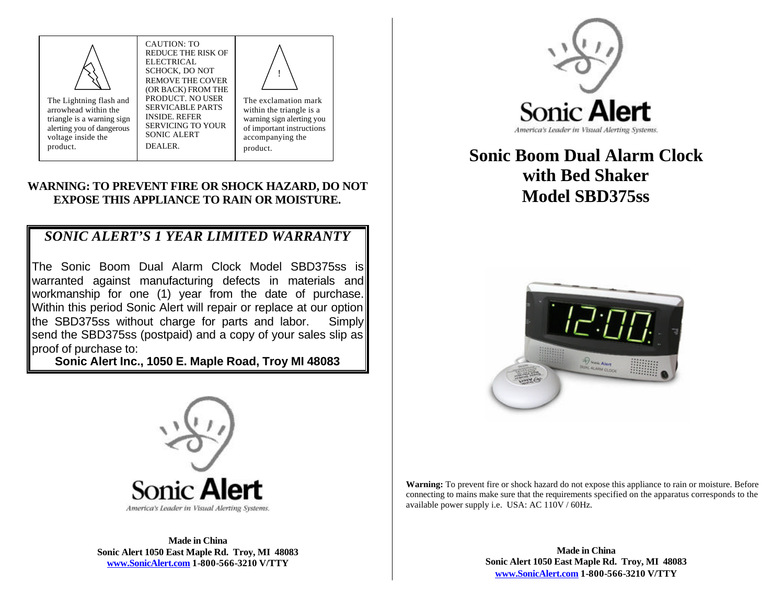

arrowhead within the

voltage inside the product.

The Lightning flash and triangle is a warning sign alerting you of dangerous ELECTRICAL SCHOCK, DO NOT REMOVE THE COVER (OR BACK) FROM THE PRODUCT. NO USER SERVICABLE PARTS INSIDE. REFER SERVICING TO YOUR SONIC ALERT DEALER.

CAUTION: TO REDUCE THE RISK OF

> The exclamation mark within the triangle is a warning sign alerting you of important instructions accompanying the product. !

## **WARNING: TO PREVENT FIRE OR SHOCK HAZARD, DO NOT EXPOSE THIS APPLIANCE TO RAIN OR MOISTURE.**

# *SONIC ALERT'S 1 YEAR LIMITED WARRANTY*

The Sonic Boom Dual Alarm Clock Model SBD375ss is warranted against manufacturing defects in materials and workmanship for one (1) year from the date of purchase. Within this period Sonic Alert will repair or replace at our option the SBD375ss without charge for parts and labor. Simply send the SBD375ss (postpaid) and a copy of your sales slip as proof of purchase to:

**Sonic Alert Inc., 1050 E. Maple Road, Troy MI 48083**



# **Sonic Boom Dual Alarm Clock with Bed Shaker Model SBD375ss**





**Made in China Sonic Alert 1050 East Maple Rd. Troy, MI 48083 www.SonicAlert.com 1-800-566-3210 V/TTY**

**Warning:** To prevent fire or shock hazard do not expose this appliance to rain or moisture. Before connecting to mains make sure that the requirements specified on the apparatus corresponds to the available power supply i.e. USA: AC 110V / 60Hz.

> **Made in China Sonic Alert 1050 East Maple Rd. Troy, MI 48083 www.SonicAlert.com 1-800-566-3210 V/TTY**